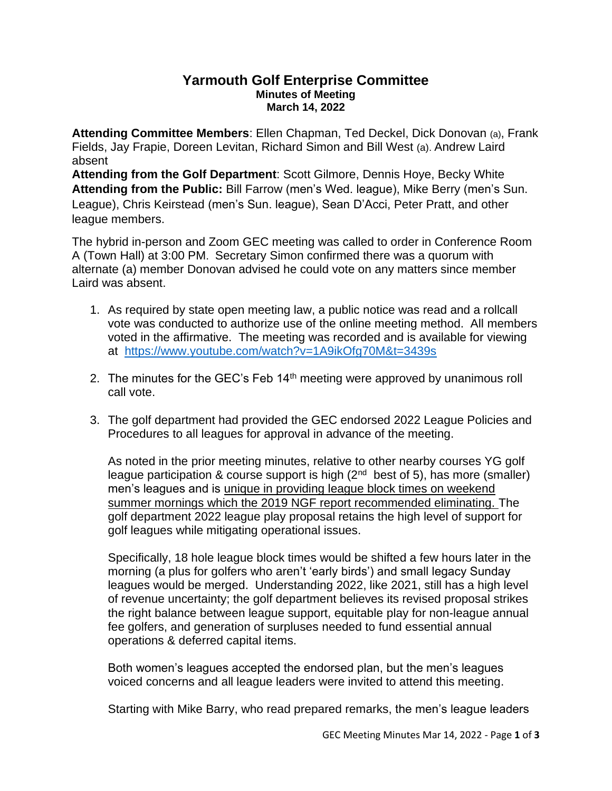## **Yarmouth Golf Enterprise Committee Minutes of Meeting March 14, 2022**

**Attending Committee Members**: Ellen Chapman, Ted Deckel, Dick Donovan (a), Frank Fields, Jay Frapie, Doreen Levitan, Richard Simon and Bill West (a). Andrew Laird absent

**Attending from the Golf Department**: Scott Gilmore, Dennis Hoye, Becky White **Attending from the Public:** Bill Farrow (men's Wed. league), Mike Berry (men's Sun. League), Chris Keirstead (men's Sun. league), Sean D'Acci, Peter Pratt, and other league members.

The hybrid in-person and Zoom GEC meeting was called to order in Conference Room A (Town Hall) at 3:00 PM. Secretary Simon confirmed there was a quorum with alternate (a) member Donovan advised he could vote on any matters since member Laird was absent.

- 1. As required by state open meeting law, a public notice was read and a rollcall vote was conducted to authorize use of the online meeting method. All members voted in the affirmative. The meeting was recorded and is available for viewing at <https://www.youtube.com/watch?v=1A9ikOfg70M&t=3439s>
- 2. The minutes for the GEC's Feb  $14<sup>th</sup>$  meeting were approved by unanimous roll call vote.
- 3. The golf department had provided the GEC endorsed 2022 League Policies and Procedures to all leagues for approval in advance of the meeting.

As noted in the prior meeting minutes, relative to other nearby courses YG golf league participation & course support is high (2<sup>nd</sup> best of 5), has more (smaller) men's leagues and is unique in providing league block times on weekend summer mornings which the 2019 NGF report recommended eliminating. The golf department 2022 league play proposal retains the high level of support for golf leagues while mitigating operational issues.

Specifically, 18 hole league block times would be shifted a few hours later in the morning (a plus for golfers who aren't 'early birds') and small legacy Sunday leagues would be merged. Understanding 2022, like 2021, still has a high level of revenue uncertainty; the golf department believes its revised proposal strikes the right balance between league support, equitable play for non-league annual fee golfers, and generation of surpluses needed to fund essential annual operations & deferred capital items.

Both women's leagues accepted the endorsed plan, but the men's leagues voiced concerns and all league leaders were invited to attend this meeting.

Starting with Mike Barry, who read prepared remarks, the men's league leaders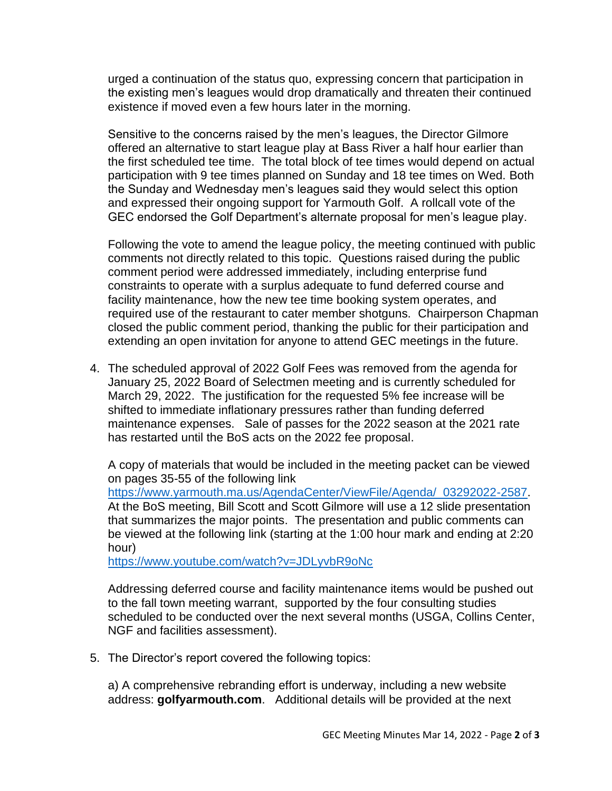urged a continuation of the status quo, expressing concern that participation in the existing men's leagues would drop dramatically and threaten their continued existence if moved even a few hours later in the morning.

Sensitive to the concerns raised by the men's leagues, the Director Gilmore offered an alternative to start league play at Bass River a half hour earlier than the first scheduled tee time. The total block of tee times would depend on actual participation with 9 tee times planned on Sunday and 18 tee times on Wed. Both the Sunday and Wednesday men's leagues said they would select this option and expressed their ongoing support for Yarmouth Golf. A rollcall vote of the GEC endorsed the Golf Department's alternate proposal for men's league play.

Following the vote to amend the league policy, the meeting continued with public comments not directly related to this topic. Questions raised during the public comment period were addressed immediately, including enterprise fund constraints to operate with a surplus adequate to fund deferred course and facility maintenance, how the new tee time booking system operates, and required use of the restaurant to cater member shotguns. Chairperson Chapman closed the public comment period, thanking the public for their participation and extending an open invitation for anyone to attend GEC meetings in the future.

4. The scheduled approval of 2022 Golf Fees was removed from the agenda for January 25, 2022 Board of Selectmen meeting and is currently scheduled for March 29, 2022. The justification for the requested 5% fee increase will be shifted to immediate inflationary pressures rather than funding deferred maintenance expenses. Sale of passes for the 2022 season at the 2021 rate has restarted until the BoS acts on the 2022 fee proposal.

A copy of materials that would be included in the meeting packet can be viewed on pages 35-55 of the following link

[https://www.yarmouth.ma.us/AgendaCenter/ViewFile/Agenda/\\_03292022-2587.](https://www.yarmouth.ma.us/AgendaCenter/ViewFile/Agenda/_03292022-2587) At the BoS meeting, Bill Scott and Scott Gilmore will use a 12 slide presentation that summarizes the major points. The presentation and public comments can be viewed at the following link (starting at the 1:00 hour mark and ending at 2:20 hour)

<https://www.youtube.com/watch?v=JDLyvbR9oNc>

Addressing deferred course and facility maintenance items would be pushed out to the fall town meeting warrant, supported by the four consulting studies scheduled to be conducted over the next several months (USGA, Collins Center, NGF and facilities assessment).

5. The Director's report covered the following topics:

a) A comprehensive rebranding effort is underway, including a new website address: **golfyarmouth.com**. Additional details will be provided at the next